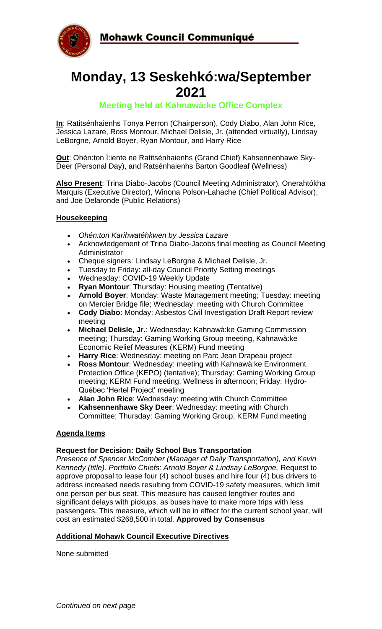



# **Monday, 13 Seskehkó:wa/September 2021**

### **Meeting held at Kahnawà:ke Office Complex**

**In**: Ratitsénhaienhs Tonya Perron (Chairperson), Cody Diabo, Alan John Rice, Jessica Lazare, Ross Montour, Michael Delisle, Jr. (attended virtually), Lindsay LeBorgne, Arnold Boyer, Ryan Montour, and Harry Rice

**Out**: Ohén:ton Í:iente ne Ratitsénhaienhs (Grand Chief) Kahsennenhawe Sky-Deer (Personal Day), and Ratsénhaienhs Barton Goodleaf (Wellness)

**Also Present**: Trina Diabo-Jacobs (Council Meeting Administrator), Onerahtókha Marquis (Executive Director), Winona Polson-Lahache (Chief Political Advisor), and Joe Delaronde (Public Relations)

#### **Housekeeping**

- *Ohén:ton Karihwatéhkwen by Jessica Lazare*
- Acknowledgement of Trina Diabo-Jacobs final meeting as Council Meeting **Administrator**
- Cheque signers: Lindsay LeBorgne & Michael Delisle, Jr.
- Tuesday to Friday: all-day Council Priority Setting meetings
- Wednesday: COVID-19 Weekly Update
- **Ryan Montour**: Thursday: Housing meeting (Tentative)
- **Arnold Boyer**: Monday: Waste Management meeting; Tuesday: meeting on Mercier Bridge file; Wednesday: meeting with Church Committee
- **Cody Diabo**: Monday: Asbestos Civil Investigation Draft Report review meeting
- **Michael Delisle, Jr.**: Wednesday: Kahnawà:ke Gaming Commission meeting; Thursday: Gaming Working Group meeting, Kahnawà:ke Economic Relief Measures (KERM) Fund meeting
- **Harry Rice**: Wednesday: meeting on Parc Jean Drapeau project
- **Ross Montour**: Wednesday: meeting with Kahnawà:ke Environment Protection Office (KEPO) (tentative); Thursday: Gaming Working Group meeting; KERM Fund meeting, Wellness in afternoon; Friday: Hydro-Québec 'Hertel Project' meeting
- **Alan John Rice**: Wednesday: meeting with Church Committee
- **Kahsennenhawe Sky Deer**: Wednesday: meeting with Church Committee; Thursday: Gaming Working Group, KERM Fund meeting

#### **Agenda Items**

#### **Request for Decision: Daily School Bus Transportation**

*Presence of Spencer McComber (Manager of Daily Transportation), and Kevin Kennedy (title). Portfolio Chiefs: Arnold Boyer & Lindsay LeBorgne.* Request to approve proposal to lease four (4) school buses and hire four (4) bus drivers to address increased needs resulting from COVID-19 safety measures, which limit one person per bus seat. This measure has caused lengthier routes and significant delays with pickups, as buses have to make more trips with less passengers. This measure, which will be in effect for the current school year, will cost an estimated \$268,500 in total. **Approved by Consensus**

#### **Additional Mohawk Council Executive Directives**

None submitted